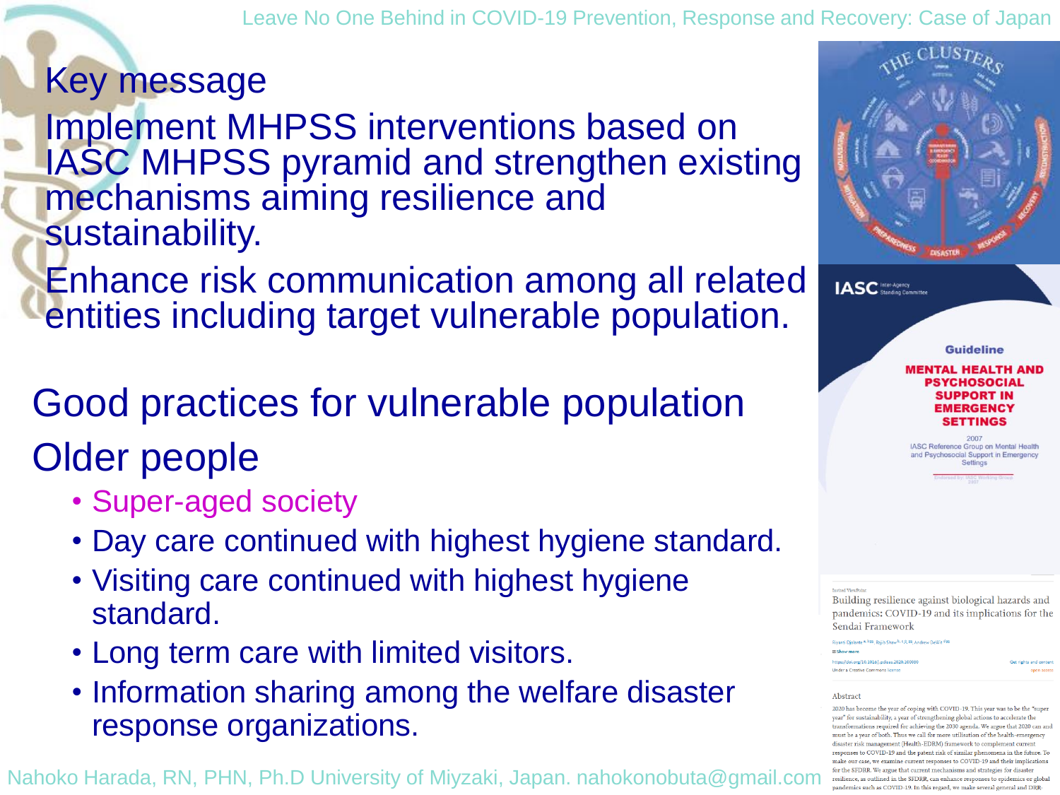Leave No One Behind in COVID-19 Prevention, Response and Recovery: Case of Japan

Key message

Implement MHPSS interventions based on IASC MHPSS pyramid and strengthen existing mechanisms aiming resilience and sustainability.

Enhance risk communication among all related entities including target vulnerable population.

Good practices for vulnerable population Older people

- Super-aged society
- Day care continued with highest hygiene standard.
- Visiting care continued with highest hygiene standard.
- Long term care with limited visitors.
- Information sharing among the welfare disaster response organizations.

Nahoko Harada, RN, PHN, Ph.D University of Miyzaki, Japan. nahokonobuta@gmail.com



**Guideline** 

### **MENTAL HEALTH AND** PSYCHOSOCIAL **SUPPORT IN EMERGENCY** SETTINGS

IASC Reference Group on Mental Health Ind Psychosocial Support in Emergency Settings

Building resilience against biological hazards and pandemics: COVID-19 and its implications for the Sendai Framework

Rivanti Dialante <sup>4, b</sup>BI, Raiib Shaw<sup>b, c</sup>.R.BI, Andrew DeWit

the: ((doi.org/10.1016/i.orlieae.2020.10008 nder a Creative Commons licens

#### Abstract

2020 has become the year of coping with COVID-19. This year was to be the "supe ear" for sustainability, a year of strengthening global actions to accelerate the tions required for achieving the 2030 agenda. We argue that 2020 can and nust be a year of both. Thus we call for more utilisation of the health-emergency isaster risk management (Health-EDRM) framework to complement current to COVID-19 and the patent risk of similar phenomena in the future. To our case, we examine current responses to COVID-19 and their implications for the SFDRR. We argue that current mechanisms and strategies for disaster resilience, as outlined in the SFDRR, can enhance responses to epidemics or global pandemics such as COVID-19. In this regard, we make several general and DRR-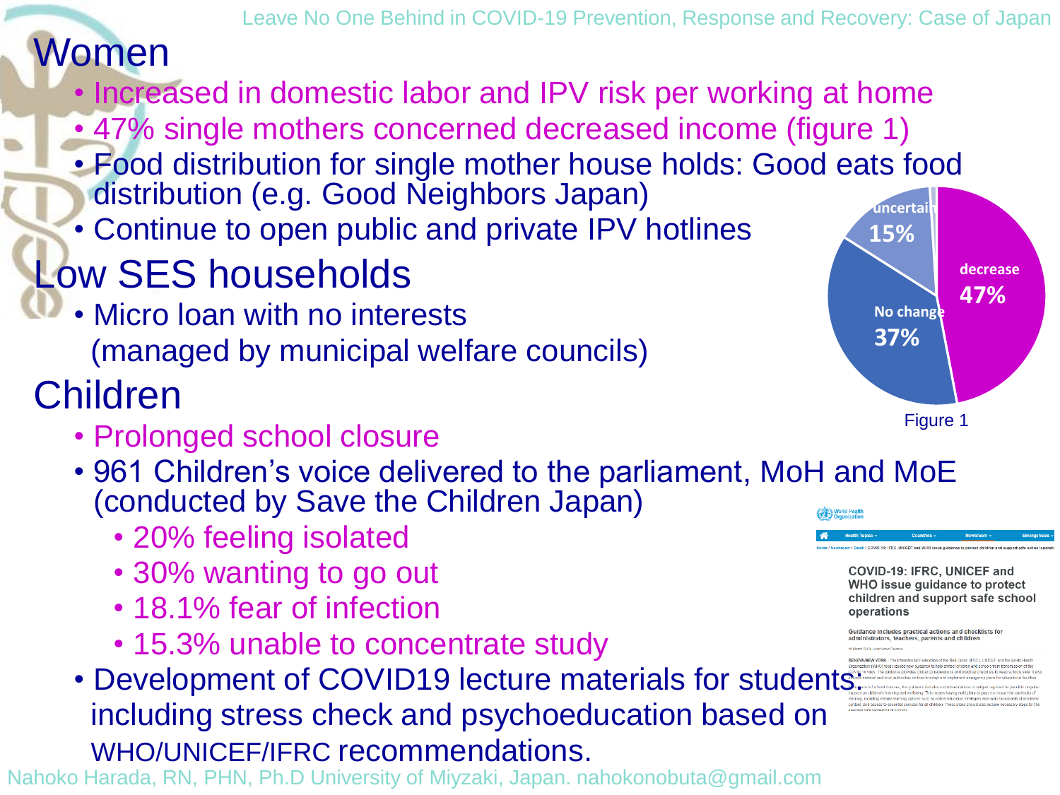## Women

- Increased in domestic labor and IPV risk per working at home
- 47% single mothers concerned decreased income (figure 1)
- Food distribution for single mother house holds: Good eats food distribution (e.g. Good Neighbors Japan)
- Continue to open public and private IPV hotlines

# Low SES households

• Micro loan with no interests (managed by municipal welfare councils)

## Children

- Prolonged school closure
- 961 Children's voice delivered to the parliament, MoH and MoE (conducted by Save the Children Japan)
	- 20% feeling isolated
	- 30% wanting to go out
	- 18.1% fear of infection
	- 15.3% unable to concentrate study
- Development of COVID19 lecture materials for students: including stress check and psychoeducation based on WHO/UNICEF/IFRC recommendations.

Nahoko Harada, RN, PHN, Ph.D University of Miyzaki, Japan. nahokonobuta@gmail.com



COVID-19: IFRC, UNICEF and WHO issue guidance to protect children and support safe school operations

uidance includes practical actions and checklists for ministrators, teachers, parents and children